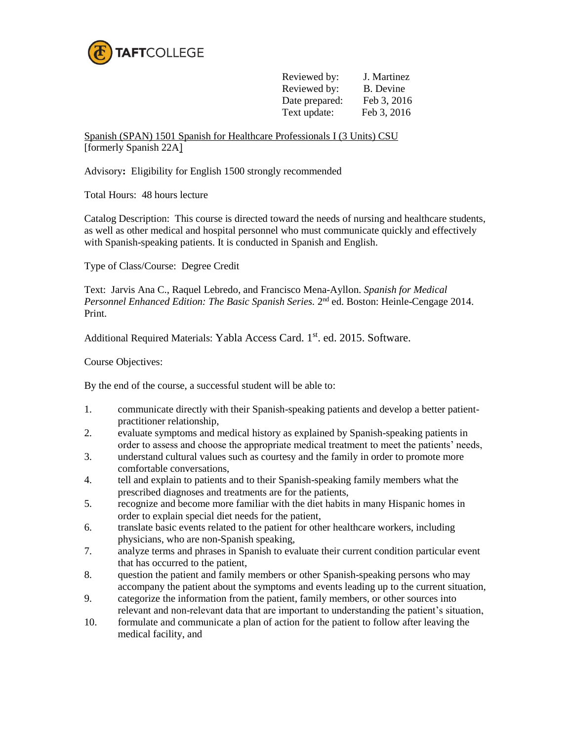

| Reviewed by:   | J. Martinez |
|----------------|-------------|
| Reviewed by:   | B. Devine   |
| Date prepared: | Feb 3, 2016 |
| Text update:   | Feb 3, 2016 |

Spanish (SPAN) 1501 Spanish for Healthcare Professionals I (3 Units) CSU [formerly Spanish 22A]

Advisory**:** Eligibility for English 1500 strongly recommended

Total Hours: 48 hours lecture

Catalog Description: This course is directed toward the needs of nursing and healthcare students, as well as other medical and hospital personnel who must communicate quickly and effectively with Spanish-speaking patients. It is conducted in Spanish and English.

Type of Class/Course: Degree Credit

Text: Jarvis Ana C., Raquel Lebredo, and Francisco Mena-Ayllon. *Spanish for Medical*  Personnel Enhanced Edition: The Basic Spanish Series. 2<sup>nd</sup> ed. Boston: Heinle-Cengage 2014. Print.

Additional Required Materials: Yabla Access Card. 1<sup>st</sup>. ed. 2015. Software.

Course Objectives:

By the end of the course, a successful student will be able to:

- 1. communicate directly with their Spanish-speaking patients and develop a better patientpractitioner relationship,
- 2. evaluate symptoms and medical history as explained by Spanish-speaking patients in order to assess and choose the appropriate medical treatment to meet the patients' needs,
- 3. understand cultural values such as courtesy and the family in order to promote more comfortable conversations,
- 4. tell and explain to patients and to their Spanish-speaking family members what the prescribed diagnoses and treatments are for the patients,
- 5. recognize and become more familiar with the diet habits in many Hispanic homes in order to explain special diet needs for the patient,
- 6. translate basic events related to the patient for other healthcare workers, including physicians, who are non-Spanish speaking,
- 7. analyze terms and phrases in Spanish to evaluate their current condition particular event that has occurred to the patient,
- 8. question the patient and family members or other Spanish-speaking persons who may accompany the patient about the symptoms and events leading up to the current situation,
- 9. categorize the information from the patient, family members, or other sources into relevant and non-relevant data that are important to understanding the patient's situation,
- 10. formulate and communicate a plan of action for the patient to follow after leaving the medical facility, and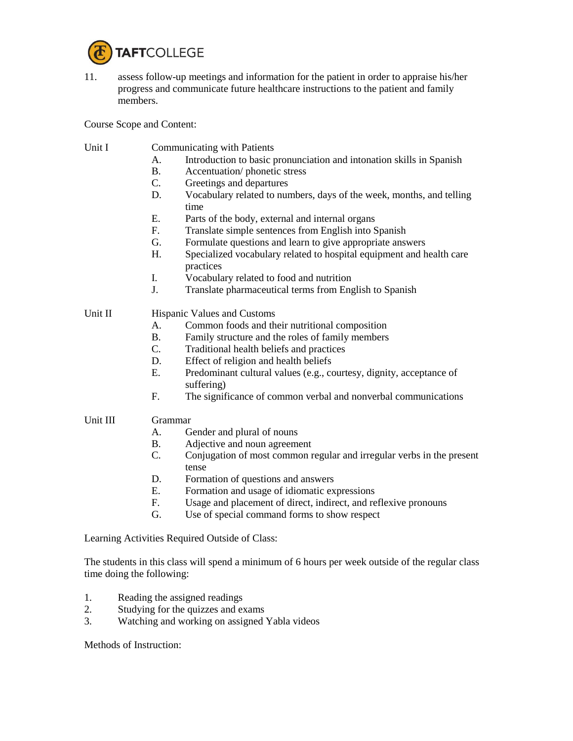

11. assess follow-up meetings and information for the patient in order to appraise his/her progress and communicate future healthcare instructions to the patient and family members.

Course Scope and Content:

## Unit I Communicating with Patients

- A. Introduction to basic pronunciation and intonation skills in Spanish
- B. Accentuation/ phonetic stress
- C. Greetings and departures
- D. Vocabulary related to numbers, days of the week, months, and telling time
- E. Parts of the body, external and internal organs
- F. Translate simple sentences from English into Spanish
- G. Formulate questions and learn to give appropriate answers
- H. Specialized vocabulary related to hospital equipment and health care practices
- I. Vocabulary related to food and nutrition
- J. Translate pharmaceutical terms from English to Spanish

## Unit II Hispanic Values and Customs

- A. Common foods and their nutritional composition
- B. Family structure and the roles of family members
- C. Traditional health beliefs and practices
- D. Effect of religion and health beliefs
- E. Predominant cultural values (e.g., courtesy, dignity, acceptance of suffering)
- F. The significance of common verbal and nonverbal communications

## Unit III Grammar

- A. Gender and plural of nouns
- B. Adjective and noun agreement
- C. Conjugation of most common regular and irregular verbs in the present tense
- D. Formation of questions and answers
- E. Formation and usage of idiomatic expressions
- F. Usage and placement of direct, indirect, and reflexive pronouns
- G. Use of special command forms to show respect

Learning Activities Required Outside of Class:

The students in this class will spend a minimum of 6 hours per week outside of the regular class time doing the following:

- 1. Reading the assigned readings
- 2. Studying for the quizzes and exams
- 3. Watching and working on assigned Yabla videos

Methods of Instruction: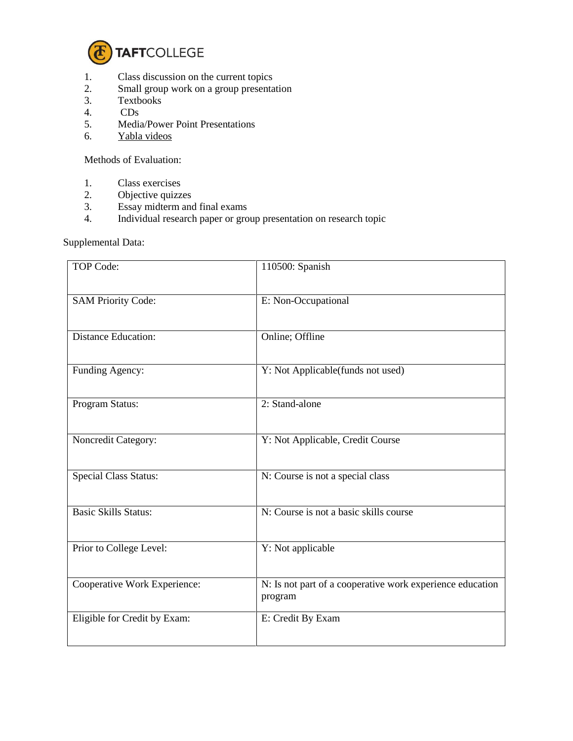

- 1. Class discussion on the current topics<br>2. Small group work on a group presentary
- Small group work on a group presentation
- 3. Textbooks
- 4. CDs
- 5. Media/Power Point Presentations
- 6. Yabla videos

Methods of Evaluation:

- 1. Class exercises
- 2. Objective quizzes
- 3. Essay midterm and final exams
- 4. Individual research paper or group presentation on research topic

Supplemental Data:

| <b>TOP Code:</b>             | 110500: Spanish                                                      |
|------------------------------|----------------------------------------------------------------------|
| <b>SAM Priority Code:</b>    | E: Non-Occupational                                                  |
| <b>Distance Education:</b>   | Online; Offline                                                      |
| Funding Agency:              | Y: Not Applicable(funds not used)                                    |
| Program Status:              | 2: Stand-alone                                                       |
| Noncredit Category:          | Y: Not Applicable, Credit Course                                     |
| <b>Special Class Status:</b> | N: Course is not a special class                                     |
| <b>Basic Skills Status:</b>  | N: Course is not a basic skills course                               |
| Prior to College Level:      | Y: Not applicable                                                    |
| Cooperative Work Experience: | N: Is not part of a cooperative work experience education<br>program |
| Eligible for Credit by Exam: | E: Credit By Exam                                                    |